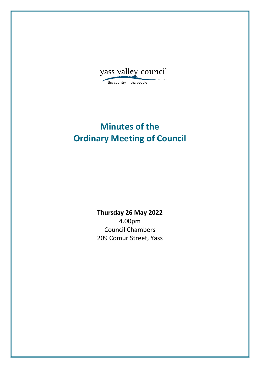

the country the people

# **Minutes of the Ordinary Meeting of Council**

**Thursday 26 May 2022** 4.00pm Council Chambers 209 Comur Street, Yass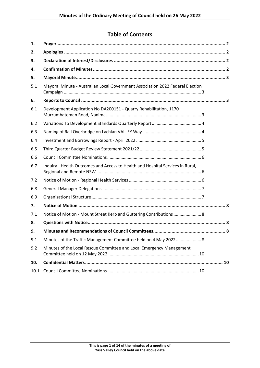## **Table of Contents**

| 1.   |                                                                                |  |
|------|--------------------------------------------------------------------------------|--|
| 2.   |                                                                                |  |
| 3.   |                                                                                |  |
| 4.   |                                                                                |  |
| 5.   |                                                                                |  |
| 5.1  | Mayoral Minute - Australian Local Government Association 2022 Federal Election |  |
| 6.   |                                                                                |  |
| 6.1  | Development Application No DA200151 - Quarry Rehabilitation, 1170              |  |
| 6.2  |                                                                                |  |
| 6.3  |                                                                                |  |
| 6.4  |                                                                                |  |
| 6.5  |                                                                                |  |
| 6.6  |                                                                                |  |
| 6.7  | Inquiry - Health Outcomes and Access to Health and Hospital Services in Rural, |  |
| 7.2  |                                                                                |  |
| 6.8  |                                                                                |  |
| 6.9  |                                                                                |  |
| 7.   |                                                                                |  |
| 7.1  | Notice of Motion - Mount Street Kerb and Guttering Contributions  8            |  |
| 8.   |                                                                                |  |
| 9.   |                                                                                |  |
| 9.1  | Minutes of the Traffic Management Committee held on 4 May 2022 8               |  |
| 9.2  | Minutes of the Local Rescue Committee and Local Emergency Management           |  |
| 10.  |                                                                                |  |
| 10.1 |                                                                                |  |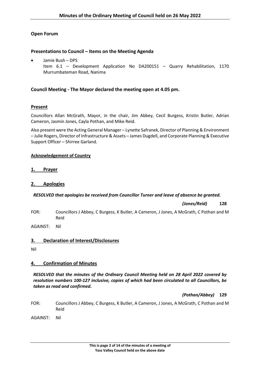## **Open Forum**

## **Presentations to Council – Items on the Meeting Agenda**

• Jamie Bush – DPS Item 6.1 – Development Application No DA200151 – Quarry Rehabilitation, 1170 Murrumbateman Road, Nanima

## **Council Meeting - The Mayor declared the meeting open at 4.05 pm.**

## **Present**

Councillors Allan McGrath, Mayor, in the chair, Jim Abbey, Cecil Burgess, Kristin Butler, Adrian Cameron, Jasmin Jones, Cayla Pothan, and Mike Reid.

Also present were the Acting General Manager – Lynette Safranek, Director of Planning & Environment – Julie Rogers, Director of Infrastructure & Assets – James Dugdell, and Corporate Planning & Executive Support Officer – Shirree Garland.

#### **Acknowledgement of Country**

## <span id="page-2-0"></span>**1. Prayer**

## <span id="page-2-1"></span>**2. Apologies**

#### *RESOLVED that apologies be received from Councillor Turner and leave of absence be granted.*

*(Jones/Reid)* **128**

FOR: Councillors J Abbey, C Burgess, K Butler, A Cameron, J Jones, A McGrath, C Pothan and M Reid

<span id="page-2-2"></span>AGAINST: Nil

## **3. Declaration of Interest/Disclosures**

Nil

## <span id="page-2-3"></span>**4. Confirmation of Minutes**

*RESOLVED that the minutes of the Ordinary Council Meeting held on 28 April 2022 covered by resolution numbers 100-127 inclusive, copies of which had been circulated to all Councillors, be taken as read and confirmed.*

#### *(Pothan/Abbey)* **129**

- FOR: Councillors J Abbey, C Burgess, K Butler, A Cameron, J Jones, A McGrath, C Pothan and M Reid
- AGAINST: Nil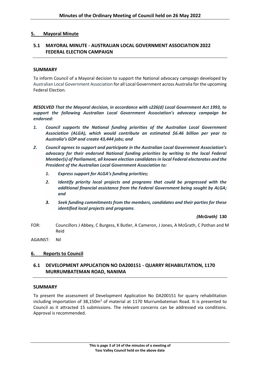## <span id="page-3-0"></span>**5. Mayoral Minute**

## <span id="page-3-1"></span>**5.1 MAYORAL MINUTE - AUSTRALIAN LOCAL GOVERNMENT ASSOCIATION 2022 FEDERAL ELECTION CAMPAIGN**

#### **SUMMARY**

To inform Council of a Mayoral decision to support the National advocacy campaign developed by Australian Local Government Association for all Local Government across Australia for the upcoming Federal Election.

*RESOLVED That the Mayoral decision, in accordance with s226(d) Local Government Act 1993, to support the following Australian Local Government Association's advocacy campaign be endorsed:*

- *1. Council supports the National funding priorities of the Australian Local Government Association (ALGA), which would contribute an estimated \$6.46 billion per year to Australia's GDP and create 43,444 jobs; and*
- *2. Council agrees to support and participate in the Australian Local Government Association's advocacy for their endorsed National funding priorities by writing to the local Federal Member(s) of Parliament, all known election candidates in local Federal electorates and the President of the Australian Local Government Association to:*
	- *1. Express support for ALGA's funding priorities;*
	- *2. Identify priority local projects and programs that could be progressed with the additional financial assistance from the Federal Government being sought by ALGA; and*
	- *3. Seek funding commitments from the members, candidates and their parties for these identified local projects and programs.*

*(McGrath)* **130**

FOR: Councillors J Abbey, C Burgess, K Butler, A Cameron, J Jones, A McGrath, C Pothan and M Reid

<span id="page-3-2"></span>AGAINST: Nil

#### **6. Reports to Council**

## <span id="page-3-3"></span>**6.1 DEVELOPMENT APPLICATION NO DA200151 - QUARRY REHABILITATION, 1170 MURRUMBATEMAN ROAD, NANIMA**

#### **SUMMARY**

To present the assessment of Development Application No DA200151 for quarry rehabilitation including importation of  $38,150m<sup>3</sup>$  of material at 1170 Murrumbateman Road. It is presented to Council as it attracted 15 submissions. The relevant concerns can be addressed via conditions. Approval is recommended.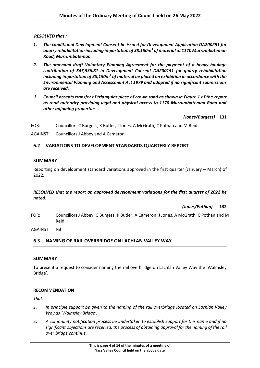*RESOLVED that :*

- *1. The conditional Development Consent be issued for Development Application DA200251 for quarry rehabilitation including importation of 38,150m<sup>3</sup> of material at 1170 Murrumbateman Road, Murrumbateman.*
- *2. The amended draft Voluntary Planning Agreement for the payment of a heavy haulage contribution of \$47,536.81 in Development Consent DA200151 for quarry rehabilitation including importation of 38,150m<sup>3</sup> of material be placed on exhibition in accordance with the Environmental Planning and Assessment Act 1979 and adopted if no significant submissions are received.*
- *3. Council accepts transfer of triangular piece of crown road as shown in Figure 1 of the report as road authority providing legal and physical access to 1170 Murrumbateman Road and other adjoining properties.*

*(Jones/Burgess)* **131**

FOR: Councillors C Burgess, K Butler, J Jones, A McGrath, C Pothan and M Reid

AGAINST: Councillors J Abbey and A Cameron

## <span id="page-4-0"></span>**6.2 VARIATIONS TO DEVELOPMENT STANDARDS QUARTERLY REPORT**

## **SUMMARY**

Reporting on development standard variations approved in the first quarter (January – March) of 2022.

## *RESOLVED that the report on approved development variations for the first quarter of 2022 be noted.*

*(Jones/Pothan)* **132**

FOR: Councillors J Abbey, C Burgess, K Butler, A Cameron, J Jones, A McGrath, C Pothan and M Reid

AGAINST: Nil

## <span id="page-4-1"></span>**6.3 NAMING OF RAIL OVERBRIDGE ON LACHLAN VALLEY WAY**

#### **SUMMARY**

To present a request to consider naming the rail overbridge on Lachlan Valley Way the 'Walmsley Bridge'.

#### **RECOMMENDATION**

*That:*

- *1. In principle support be given to the naming of the rail overbridge located on Lachlan Valley Way as 'Walmsley Bridge'.*
- 2. *A community notification process be undertaken to establish support for this name and if no significant objections are received, the process of obtaining approval for the naming of the rail over bridge continue.*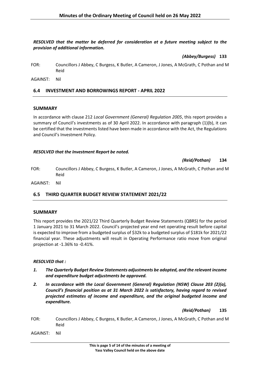#### *RESOLVED that the matter be deferred for consideration at a future meeting subject to the provision of additional information.*

*(Abbey/Burgess)* **133**

FOR: Councillors J Abbey, C Burgess, K Butler, A Cameron, J Jones, A McGrath, C Pothan and M Reid

AGAINST: Nil

## <span id="page-5-0"></span>**6.4 INVESTMENT AND BORROWINGS REPORT - APRIL 2022**

#### **SUMMARY**

In accordance with clause 212 *Local Government (General) Regulation 2005*, this report provides a summary of Council's investments as of 30 April 2022. In accordance with paragraph (1)(b), it can be certified that the investments listed have been made in accordance with the Act, the Regulations and Council's Investment Policy.

#### *RESOLVED that the Investment Report be noted.*

*(Reid/Pothan)* **134**

FOR: Councillors J Abbey, C Burgess, K Butler, A Cameron, J Jones, A McGrath, C Pothan and M Reid

AGAINST: Nil

## <span id="page-5-1"></span>**6.5 THIRD QUARTER BUDGET REVIEW STATEMENT 2021/22**

#### **SUMMARY**

This report provides the 2021/22 Third Quarterly Budget Review Statements (QBRS) for the period 1 January 2021 to 31 March 2022. Council's projected year end net operating result before capital is expected to improve from a budgeted surplus of \$32k to a budgeted surplus of \$181k for 2021/22 financial year. These adjustments will result in Operating Performance ratio move from original projection at -1.36% to -0.41%.

#### *RESOLVED that :*

- *1. The Quarterly Budget Review Statements adjustments be adopted, and the relevant income and expenditure budget adjustments be approved.*
- *2. In accordance with the Local Government (General) Regulation (NSW) Clause 203 (2)(a), Council's financial position as at 31 March 2022 is satisfactory, having regard to revised projected estimates of income and expenditure, and the original budgeted income and expenditure.*

*(Reid/Pothan)* **135**

- FOR: Councillors J Abbey, C Burgess, K Butler, A Cameron, J Jones, A McGrath, C Pothan and M Reid
- AGAINST: Nil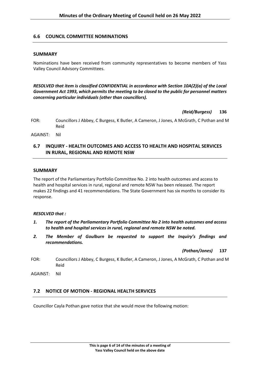## <span id="page-6-0"></span>**6.6 COUNCIL COMMITTEE NOMINATIONS**

#### **SUMMARY**

Nominations have been received from community representatives to become members of Yass Valley Council Advisory Committees.

*RESOLVED that item is classified CONFIDENTIAL in accordance with Section 10A(2)(a) of the Local Government Act 1993, which permits the meeting to be closed to the public for personnel matters concerning particular individuals (other than councillors).*

*(Reid/Burgess)* **136**

FOR: Councillors J Abbey, C Burgess, K Butler, A Cameron, J Jones, A McGrath, C Pothan and M Reid

AGAINST: Nil

## <span id="page-6-1"></span>**6.7 INQUIRY - HEALTH OUTCOMES AND ACCESS TO HEALTH AND HOSPITAL SERVICES IN RURAL, REGIONAL AND REMOTE NSW**

#### **SUMMARY**

The report of the Parliamentary Portfolio Committee No. 2 into health outcomes and access to health and hospital services in rural, regional and remote NSW has been released. The report makes 22 findings and 41 recommendations. The State Government has six months to consider its response.

#### *RESOLVED that :*

- *1. The report of the Parliamentary Portfolio Committee No 2 into health outcomes and access to health and hospital services in rural, regional and remote NSW be noted.*
- *2. The Member of Goulburn be requested to support the Inquiry's findings and recommendations.*

*(Pothan/Jones)* **137**

FOR: Councillors J Abbey, C Burgess, K Butler, A Cameron, J Jones, A McGrath, C Pothan and M Reid

AGAINST: Nil

## <span id="page-6-2"></span>**7.2 NOTICE OF MOTION - REGIONAL HEALTH SERVICES**

Councillor Cayla Pothan gave notice that she would move the following motion: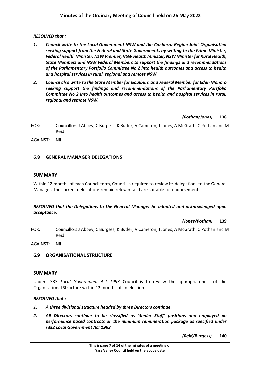#### *RESOLVED that :*

- *1. Council write to the Local Government NSW and the Canberra Region Joint Organisation seeking support from the Federal and State Governments by writing to the Prime Minister, Federal Health Minister, NSW Premier, NSW Health Minister, NSW Minister for Rural Health, State Members and NSW Federal Members to support the findings and recommendations of the Parliamentary Portfolio Committee No 2 into health outcomes and access to health and hospital services in rural, regional and remote NSW.*
- *2. Council also write to the State Member for Goulburn and Federal Member for Eden Monaro seeking support the findings and recommendations of the Parliamentary Portfolio Committee No 2 into health outcomes and access to health and hospital services in rural, regional and remote NSW.*

*(Pothan/Jones)* **138**

- FOR: Councillors J Abbey, C Burgess, K Butler, A Cameron, J Jones, A McGrath, C Pothan and M Reid
- AGAINST: Nil

## <span id="page-7-0"></span>**6.8 GENERAL MANAGER DELEGATIONS**

## **SUMMARY**

Within 12 months of each Council term, Council is required to review its delegations to the General Manager. The current delegations remain relevant and are suitable for endorsement.

## *RESOLVED that the Delegations to the General Manager be adopted and acknowledged upon acceptance.*

#### *(Jones/Pothan)* **139**

FOR: Councillors J Abbey, C Burgess, K Butler, A Cameron, J Jones, A McGrath, C Pothan and M Reid

AGAINST: Nil

## <span id="page-7-1"></span>**6.9 ORGANISATIONAL STRUCTURE**

#### **SUMMARY**

Under s333 *Local Government Act 1993* Council is to review the appropriateness of the Organisational Structure within 12 months of an election.

#### *RESOLVED that :*

- *1. A three divisional structure headed by three Directors continue.*
- *2. All Directors continue to be classified as 'Senior Staff' positions and employed on performance based contracts on the minimum remuneration package as specified under s332 Local Government Act 1993.*

*(Reid/Burgess)* **140**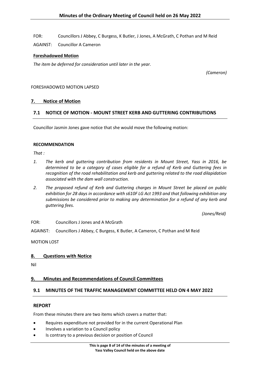FOR: Councillors J Abbey, C Burgess, K Butler, J Jones, A McGrath, C Pothan and M Reid

AGAINST: Councillor A Cameron

#### **Foreshadowed Motion**

*The item be deferred for consideration until later in the year.*

*(Cameron)*

#### <span id="page-8-0"></span>FORESHADOWED MOTION LAPSED

## **7. Notice of Motion**

## <span id="page-8-1"></span>**7.1 NOTICE OF MOTION - MOUNT STREET KERB AND GUTTERING CONTRIBUTIONS**

Councillor Jasmin Jones gave notice that she would move the following motion:

#### **RECOMMENDATION**

*That :*

- *1. The kerb and guttering contribution from residents in Mount Street, Yass in 2016, be determined to be a category of cases eligible for a refund of Kerb and Guttering fees in recognition of the road rehabilitation and kerb and guttering related to the road dilapidation associated with the dam wall construction.*
- *2. The proposed refund of Kerb and Guttering charges in Mount Street be placed on public exhibition for 28 days in accordance with s610F LG Act 1993 and that following exhibition any submissions be considered prior to making any determination for a refund of any kerb and guttering fees.*

*(Jones/Reid)*

FOR: Councillors J Jones and A McGrath

AGAINST: Councillors J Abbey, C Burgess, K Butler, A Cameron, C Pothan and M Reid

<span id="page-8-2"></span>MOTION LOST

## **8. Questions with Notice**

<span id="page-8-3"></span>Nil

#### **9. Minutes and Recommendations of Council Committees**

## <span id="page-8-4"></span>**9.1 MINUTES OF THE TRAFFIC MANAGEMENT COMMITTEE HELD ON 4 MAY 2022**

#### **REPORT**

From these minutes there are two items which covers a matter that:

- Requires expenditure not provided for in the current Operational Plan
- Involves a variation to a Council policy
- Is contrary to a previous decision or position of Council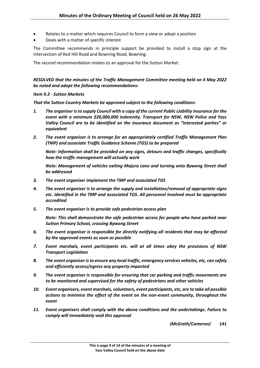- Relates to a matter which requires Council to form a view or adopt a position
- Deals with a matter of specific interest

The Committee recommends in principle support be provided to install a stop sign at the intersection of Red Hill Road and Bowning Road, Bowning.

The second recommendation relates to an approval for the Sutton Market.

*RESOLVED that the minutes of the Traffic Management Committee meeting held on 4 May 2022 be noted and adopt the following recommendations:*

#### *Item 9.2 - Sutton Markets*

*That the Sutton Country Markets be approved subject to the following conditions:*

- *1. The organiser is to supply Council with a copy of the current Public Liability Insurance for the event with a minimum \$20,000,000 indemnity. Transport for NSW, NSW Police and Yass Valley Council are to be identified on the insurance document as "interested parties" or equivalent*
- *2. The event organiser is to arrange for an appropriately certified Traffic Management Plan (TMP) and associate Traffic Guidance Scheme (TGS) to be prepared*

*Note: Information shall be provided on any signs, detours and traffic changes, specifically how the traffic management will actually work*

*Note: Management of vehicles exiting Majura Lane and turning onto Bywong Street shall be addressed*

- *3. The event organiser implement the TMP and associated TGS*
- *4. The event organiser is to arrange the supply and installation/removal of appropriate signs etc. identified in the TMP and associated TGS. All personnel involved must be appropriate accredited*
- *5. The event organiser is to provide safe pedestrian access plan*

*Note: This shall demonstrate the safe pedestrian access for people who have parked near Sutton Primary School, crossing Bywong Street*

- *6. The event organiser is responsible for directly notifying all residents that may be affected by the approved events as soon as possible*
- *7. Event marshals, event participants etc. will at all times obey the provisions of NSW Transport Legislation*
- *8. The event organiser is to ensure any local traffic, emergency services vehicles, etc, can safely and efficiently access/egress any property impacted*
- *9. The event organiser is responsible for ensuring that car parking and traffic movements are to be monitored and supervised for the safety of pedestrians and other vehicles*
- *10. Event organisers, event marshals, volunteers, event participants, etc, are to take all possible actions to minimise the effect of the event on the non-event community, throughout the event*
- *11. Event organisers shall comply with the above conditions and the undertakings. Failure to comply will immediately void this approval*

*(McGrath/Cameron)* **141**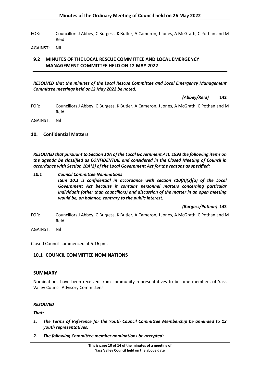FOR: Councillors J Abbey, C Burgess, K Butler, A Cameron, J Jones, A McGrath, C Pothan and M Reid

AGAINST: Nil

## <span id="page-10-0"></span>**9.2 MINUTES OF THE LOCAL RESCUE COMMITTEE AND LOCAL EMERGENCY MANAGEMENT COMMITTEE HELD ON 12 MAY 2022**

#### *RESOLVED that the minutes of the Local Rescue Committee and Local Emergency Management Committee meetings held on12 May 2022 be noted.*

*(Abbey/Reid)* **142**

FOR: Councillors J Abbey, C Burgess, K Butler, A Cameron, J Jones, A McGrath, C Pothan and M Reid

<span id="page-10-1"></span>AGAINST: Nil

## **10. Confidential Matters**

*RESOLVED that pursuant to Section 10A of the Local Government Act, 1993 the following items on the agenda be classified as CONFIDENTIAL and considered in the Closed Meeting of Council in accordance with Section 10A(2) of the Local Government Act for the reasons as specified:*

*10.1 Council Committee Nominations Item 10.1 is confidential in accordance with section s10(A)(2)(a) of the Local Government Act because it contains personnel matters concerning particular individuals (other than councillors) and discussion of the matter in an open meeting would be, on balance, contrary to the public interest.*

*(Burgess/Pothan)* **143**

FOR: Councillors J Abbey, C Burgess, K Butler, A Cameron, J Jones, A McGrath, C Pothan and M Reid

AGAINST: Nil

Closed Council commenced at 5.16 pm.

## <span id="page-10-2"></span>**10.1 COUNCIL COMMITTEE NOMINATIONS**

#### **SUMMARY**

Nominations have been received from community representatives to become members of Yass Valley Council Advisory Committees.

#### *RESOLVED*

*That:*

- *1. The Terms of Reference for the Youth Council Committee Membership be amended to 12 youth representatives.*
- *2. The following Committee member nominations be accepted:*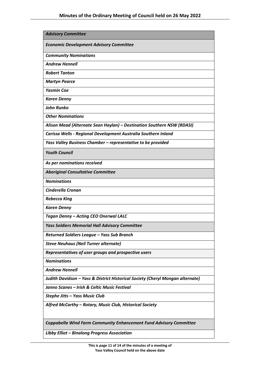| <b>Advisory Committee</b>                                                      |  |  |
|--------------------------------------------------------------------------------|--|--|
| <b>Economic Development Advisory Committee</b>                                 |  |  |
| <b>Community Nominations</b>                                                   |  |  |
| <b>Andrew Hennell</b>                                                          |  |  |
| <b>Robert Tanton</b>                                                           |  |  |
| <b>Martyn Pearce</b>                                                           |  |  |
| <b>Yasmin Coe</b>                                                              |  |  |
| <b>Karen Denny</b>                                                             |  |  |
| <b>John Runko</b>                                                              |  |  |
| <b>Other Nominations</b>                                                       |  |  |
| Alison Mead (Alternate Sean Haylan) - Destination Southern NSW (RDASI)         |  |  |
| Carissa Wells - Regional Development Australia Southern Inland                 |  |  |
| Yass Valley Business Chamber - representative to be provided                   |  |  |
| <b>Youth Council</b>                                                           |  |  |
| As per nominations received                                                    |  |  |
| <b>Aboriginal Consultative Committee</b>                                       |  |  |
| <b>Nominations</b>                                                             |  |  |
| <b>Cinderella Cronan</b>                                                       |  |  |
| <b>Rebecca King</b>                                                            |  |  |
| <b>Karen Denny</b>                                                             |  |  |
| Tegan Denny - Acting CEO Onerwal LALC                                          |  |  |
| <b>Yass Soldiers Memorial Hall Advisory Committee</b>                          |  |  |
| Returned Soldiers League - Yass Sub Branch                                     |  |  |
| <b>Steve Neuhaus (Neil Turner alternate)</b>                                   |  |  |
| Representatives of user groups and prospective users                           |  |  |
| <b>Nominations</b>                                                             |  |  |
| <b>Andrew Hennell</b>                                                          |  |  |
| Judith Davidson - Yass & District Historical Society (Cheryl Mongan alternate) |  |  |
| Janno Scanes - Irish & Celtic Music Festival                                   |  |  |
| Stephe Jitts - Yass Music Club                                                 |  |  |
| Alfred McCarthy - Rotary, Music Club, Historical Society                       |  |  |
| Coppabella Wind Farm Community Enhancement Fund Advisory Committee             |  |  |
| Libby Elliot - Binalong Progress Association                                   |  |  |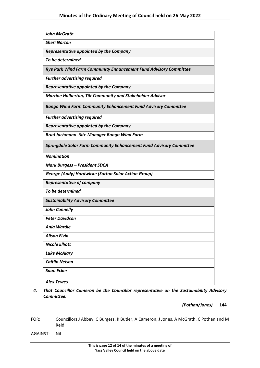| <b>John McGrath</b>                                                        |
|----------------------------------------------------------------------------|
| <b>Sheri Norton</b>                                                        |
| Representative appointed by the Company                                    |
| To be determined                                                           |
| Rye Park Wind Farm Community Enhancement Fund Advisory Committee           |
| <b>Further advertising required</b>                                        |
| Representative appointed by the Company                                    |
| <b>Martine Holberton, Tilt Community and Stakeholder Advisor</b>           |
| <b>Bango Wind Farm Community Enhancement Fund Advisory Committee</b>       |
| <b>Further advertising required</b>                                        |
| Representative appointed by the Company                                    |
| <b>Brad Jachmann -Site Manager Bango Wind Farm</b>                         |
| <b>Springdale Solar Farm Community Enhancement Fund Advisory Committee</b> |
| <b>Nomination</b>                                                          |
| <b>Mark Burgess - President SDCA</b>                                       |
| <b>George (Andy) Hardwicke (Sutton Solar Action Group)</b>                 |
| <b>Representative of company</b>                                           |
| To be determined                                                           |
| <b>Sustainability Advisory Committee</b>                                   |
| <b>John Connelly</b>                                                       |
| <b>Peter Davidson</b>                                                      |
| <b>Ania Wardle</b>                                                         |
| <b>Alison Elvin</b>                                                        |
| <b>Nicole Elliott</b>                                                      |
| <b>Luke McAlary</b>                                                        |
| <b>Caitlin Nelson</b>                                                      |
| Saan Ecker                                                                 |
| <b>Alex Tewes</b>                                                          |

*4. That Councillor Cameron be the Councillor representative on the Sustainability Advisory Committee.*

*(Pothan/Jones)* **144**

FOR: Councillors J Abbey, C Burgess, K Butler, A Cameron, J Jones, A McGrath, C Pothan and M Reid

AGAINST: Nil